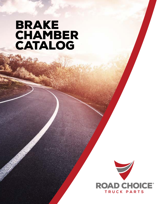# **BRAKE CHAMBER** CATALOG

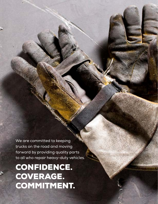We are committed to keeping trucks on the road and moving forward by providing quality parts to all who repair heavy-duty vehicles.

# CONFIDENCE. COVERAGE. COMMITMENT.

**2 |** roadchoice.com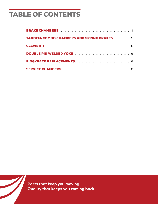# TABLE OF CONTENTS



Parts that keep you moving. Quality that keeps you coming back.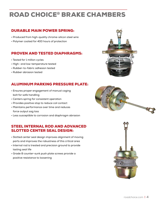### ROAD CHOICE® BRAKE CHAMBERS

### DURABLE MAIN POWER SPRING:

- Produced from high-quality chrome-silicon steel wire
- Polymer coated for 400 hours of protection

#### PROVEN AND TESTED DIAPHRAGMS:

- Tested for 1 million cycles
- High- and low-temperature tested
- Rubber-to-fabric adhesion tested
- Rubber abrasion tested

### ALUMINUM PARKING PRESSURE PLATE:

- Ensures proper engagement of manual caging bolt for safe handling
- Centers spring for consistent operation
- Provides positive stop to reduce coil contact
- Maintains performance over time and reduces force output sag loss
- Less susceptible to corrosion and diaphragm abrasion

#### STEEL INTERNAL ROD AND ADVANCED SLOTTED CENTER SEAL DESIGN:

- Slotted center seal design improves alignment of moving parts and improves the robustness of this critical area
- Internal rod is treated and precision ground to provide lasting seal life
- Grade 8 counter-sunk push plate screws provide a positive resistance to loosening





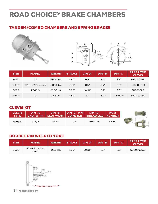## ROAD CHOICE® BRAKE CHAMBERS

### TANDEM/COMBO CHAMBERS AND SPRING BRAKES





| <b>SIZE</b> | <b>MODEL</b>       | <b>WEIGHT</b> | <b>STROKE</b> | DIM "A" | DIM "B" | <b>DIM</b> "C" | <b>PART#W/O</b><br><b>CLEVIS</b> |
|-------------|--------------------|---------------|---------------|---------|---------|----------------|----------------------------------|
| 3030        | <b>PS</b>          | 20.10 lbs.    | 2.50"         | 9.5"    | 5.7"    | 8.3''          | SB3030STD                        |
| 3030        | TRX - 12" Push Rod | 20.10 lbs.    | 2.50"         | 9.5"    | 5.7''   | 8.3''          | SB3030TRX                        |
| 3030        | <b>PS-ELS</b>      | 20.50 lbs.    | 3.00"         | 10.31"  | 5.7''   | 8.3''          | <b>SB3030LS</b>                  |
| 2430        | <b>PS</b>          | 18.8 lbs.     | 2.50"         | 9.1''   | 5.7''   | 7.5''/8.3''    | SB2430STD                        |

#### CLEVIS KIT

| <b>CLEVIS</b><br>TYPE <sup>1</sup> | DIM "A"    | DIM "B" | $\blacksquare$ DIM "C" PIN | <b>DIM "D"</b><br><b>END TO PIN   SLOT WIDTH   DIAMETER   THREAD SIZE   NUMBER</b> | <b>PART</b> |  |
|------------------------------------|------------|---------|----------------------------|------------------------------------------------------------------------------------|-------------|--|
| Forged                             | $1 - 3/4"$ | 9/16"   | 1/2"                       | $5/8" - 18$                                                                        | <b>CK58</b> |  |

### DOUBLE PIN WELDED YOKE

| <b>SIZE</b> | MODEL                          | WEIGHT    | <b>STROKE</b> | DIM "A" | DIM "B" | DIM "C" | PART#W/O<br><b>CLEVIS</b> |
|-------------|--------------------------------|-----------|---------------|---------|---------|---------|---------------------------|
| 3030        | <b>PS-ELS Welded</b><br>Clevis | 20.6 lbs. | 3.00"         | 10.31"  | 5.7"    | 8.3''   | SB3030LSW                 |



**5 |** roadchoice.com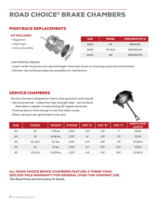## ROAD CHOICE® BRAKE CHAMBERS

### PIGGYBACK REPLACEMENTS

#### KIT INCLUDES:

- Piggyback
- Diaphragm
- Clamp Assembly



| <b>SIZE</b> | <b>MODEL</b>  | <b>PIGGYBACK KIT #</b> |
|-------------|---------------|------------------------|
| 3030        | <b>PS</b>     | <b>PB3030K</b>         |
| 3030        | <b>PS-ELS</b> | PB3030LSK              |
| 2430        | PB            | <b>PB2430STD</b>       |

#### LOW PROFILE DESIGN:

- Lower center of gravity and reduced weight mean less stress on mounting studs and axle brackets
- Slimmer rear profile provides less possibility for interference

#### SERVICE CHAMBERS

Service chambers designed for heavy-duty operation and long life:

- Service pushrods made from high strength steel will not bend. Rod weld is capable of withstanding 45-degree bend test.
- Pushrod plate is thick enough to last one million cycles
- Return spring is pre-galvanized music wire



| <b>SIZE</b> | <b>MODEL</b> | <b>WEIGHT</b> | <b>STROKE</b> | DIM "A" | DIM "B" | <b>DIM "C"</b> | <b>PART#W/O</b><br><b>CLEVIS</b> |
|-------------|--------------|---------------|---------------|---------|---------|----------------|----------------------------------|
| 20          | <b>SC</b>    | 7.76 lbs.     | 2.50"         | 3.8"    | 4.9''   | 7"             | SC <sub>20</sub>                 |
| 24          | <b>SC</b>    | 8.38 lbs.     | 2.50"         | 4"      | 4.9''   | 7.5''          | <b>SC24</b>                      |
| 24          | SC-ELS       | 8.7 lbs.      | 3.00"         | 4.4"    | 4.9''   | 7.5''          | SC <sub>24</sub> LS              |
| 30          | SC.          | 10 lbs.       | 2.50"         | 4.1''   | 5.5"    | 8.3''          | SC <sub>30</sub>                 |
| 30          | SC-ELS       | 10.05 lbs.    | 3.00"         | 4.4"    | 5.5''   | 8.2"           | SC30LS                           |

#### ALL ROAD CHOICE BRAKE CHAMBERS FEATURE A THREE-YEAR, 300,000-MILE WARRANTY FOR GENERAL OVER-THE-HIGHWAY USE.

**\*See Road Choice warranty policy for details.**